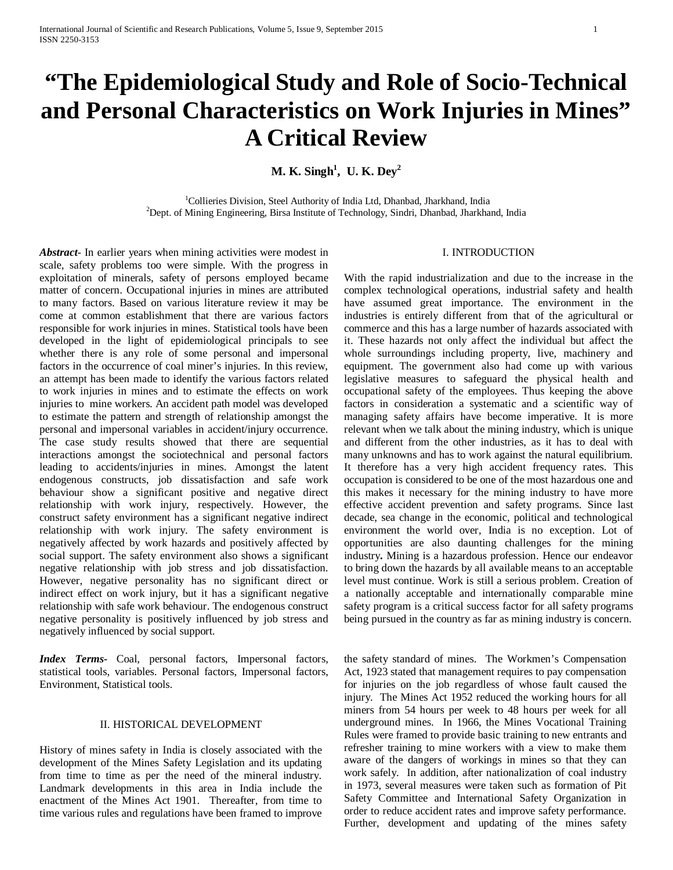# **"The Epidemiological Study and Role of Socio-Technical and Personal Characteristics on Work Injuries in Mines" A Critical Review**

**M. K. Singh1 , U. K. Dey2**

<sup>1</sup>Collieries Division, Steel Authority of India Ltd, Dhanbad, Jharkhand, India<sup>2</sup><br><sup>2</sup>Dept. of Mining Engineering, Pirce Institute of Technology, Sindri, Dhanbad, Iherkha  $^{2}$ Dept. of Mining Engineering, Birsa Institute of Technology, Sindri, Dhanbad, Jharkhand, India

*Abstract*- In earlier years when mining activities were modest in scale, safety problems too were simple. With the progress in exploitation of minerals, safety of persons employed became matter of concern. Occupational injuries in mines are attributed to many factors. Based on various literature review it may be come at common establishment that there are various factors responsible for work injuries in mines. Statistical tools have been developed in the light of epidemiological principals to see whether there is any role of some personal and impersonal factors in the occurrence of coal miner's injuries. In this review, an attempt has been made to identify the various factors related to work injuries in mines and to estimate the effects on work injuries to mine workers. An accident path model was developed to estimate the pattern and strength of relationship amongst the personal and impersonal variables in accident/injury occurrence. The case study results showed that there are sequential interactions amongst the sociotechnical and personal factors leading to accidents/injuries in mines. Amongst the latent endogenous constructs, job dissatisfaction and safe work behaviour show a significant positive and negative direct relationship with work injury, respectively. However, the construct safety environment has a significant negative indirect relationship with work injury. The safety environment is negatively affected by work hazards and positively affected by social support. The safety environment also shows a significant negative relationship with job stress and job dissatisfaction. However, negative personality has no significant direct or indirect effect on work injury, but it has a significant negative relationship with safe work behaviour. The endogenous construct negative personality is positively influenced by job stress and negatively influenced by social support.

*Index Terms-* Coal, personal factors, Impersonal factors, statistical tools, variables. Personal factors, Impersonal factors, Environment, Statistical tools.

## II. HISTORICAL DEVELOPMENT

History of mines safety in India is closely associated with the development of the Mines Safety Legislation and its updating from time to time as per the need of the mineral industry. Landmark developments in this area in India include the enactment of the Mines Act 1901. Thereafter, from time to time various rules and regulations have been framed to improve

# I. INTRODUCTION

With the rapid industrialization and due to the increase in the complex technological operations, industrial safety and health have assumed great importance. The environment in the industries is entirely different from that of the agricultural or commerce and this has a large number of hazards associated with it. These hazards not only affect the individual but affect the whole surroundings including property, live, machinery and equipment. The government also had come up with various legislative measures to safeguard the physical health and occupational safety of the employees. Thus keeping the above factors in consideration a systematic and a scientific way of managing safety affairs have become imperative. It is more relevant when we talk about the mining industry, which is unique and different from the other industries, as it has to deal with many unknowns and has to work against the natural equilibrium. It therefore has a very high accident frequency rates. This occupation is considered to be one of the most hazardous one and this makes it necessary for the mining industry to have more effective accident prevention and safety programs. Since last decade, sea change in the economic, political and technological environment the world over, India is no exception. Lot of opportunities are also daunting challenges for the mining industry**.** Mining is a hazardous profession. Hence our endeavor to bring down the hazards by all available means to an acceptable level must continue. Work is still a serious problem. Creation of a nationally acceptable and internationally comparable mine safety program is a critical success factor for all safety programs being pursued in the country as far as mining industry is concern.

the safety standard of mines. The Workmen's Compensation Act, 1923 stated that management requires to pay compensation for injuries on the job regardless of whose fault caused the injury. The Mines Act 1952 reduced the working hours for all miners from 54 hours per week to 48 hours per week for all underground mines. In 1966, the Mines Vocational Training Rules were framed to provide basic training to new entrants and refresher training to mine workers with a view to make them aware of the dangers of workings in mines so that they can work safely. In addition, after nationalization of coal industry in 1973, several measures were taken such as formation of Pit Safety Committee and International Safety Organization in order to reduce accident rates and improve safety performance. Further, development and updating of the mines safety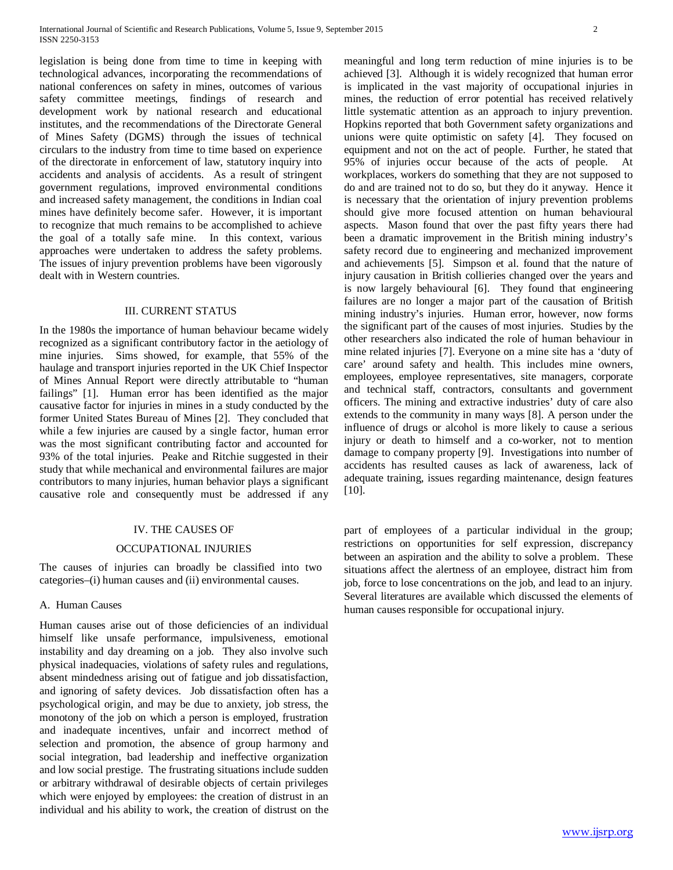legislation is being done from time to time in keeping with technological advances, incorporating the recommendations of national conferences on safety in mines, outcomes of various safety committee meetings, findings of research and development work by national research and educational institutes, and the recommendations of the Directorate General of Mines Safety (DGMS) through the issues of technical circulars to the industry from time to time based on experience of the directorate in enforcement of law, statutory inquiry into accidents and analysis of accidents. As a result of stringent government regulations, improved environmental conditions and increased safety management, the conditions in Indian coal mines have definitely become safer. However, it is important to recognize that much remains to be accomplished to achieve the goal of a totally safe mine. In this context, various approaches were undertaken to address the safety problems. The issues of injury prevention problems have been vigorously dealt with in Western countries.

#### III. CURRENT STATUS

In the 1980s the importance of human behaviour became widely recognized as a significant contributory factor in the aetiology of mine injuries. Sims showed, for example, that 55% of the haulage and transport injuries reported in the UK Chief Inspector of Mines Annual Report were directly attributable to "human failings" [1]. Human error has been identified as the major causative factor for injuries in mines in a study conducted by the former United States Bureau of Mines [2]. They concluded that while a few injuries are caused by a single factor, human error was the most significant contributing factor and accounted for 93% of the total injuries. Peake and Ritchie suggested in their study that while mechanical and environmental failures are major contributors to many injuries, human behavior plays a significant causative role and consequently must be addressed if any

#### IV. THE CAUSES OF

## OCCUPATIONAL INJURIES

The causes of injuries can broadly be classified into two categories–(i) human causes and (ii) environmental causes.

## A. Human Causes

Human causes arise out of those deficiencies of an individual himself like unsafe performance, impulsiveness, emotional instability and day dreaming on a job. They also involve such physical inadequacies, violations of safety rules and regulations, absent mindedness arising out of fatigue and job dissatisfaction, and ignoring of safety devices. Job dissatisfaction often has a psychological origin, and may be due to anxiety, job stress, the monotony of the job on which a person is employed, frustration and inadequate incentives, unfair and incorrect method of selection and promotion, the absence of group harmony and social integration, bad leadership and ineffective organization and low social prestige. The frustrating situations include sudden or arbitrary withdrawal of desirable objects of certain privileges which were enjoyed by employees: the creation of distrust in an individual and his ability to work, the creation of distrust on the meaningful and long term reduction of mine injuries is to be achieved [3]. Although it is widely recognized that human error is implicated in the vast majority of occupational injuries in mines, the reduction of error potential has received relatively little systematic attention as an approach to injury prevention. Hopkins reported that both Government safety organizations and unions were quite optimistic on safety [4]. They focused on equipment and not on the act of people. Further, he stated that 95% of injuries occur because of the acts of people. At workplaces, workers do something that they are not supposed to do and are trained not to do so, but they do it anyway. Hence it is necessary that the orientation of injury prevention problems should give more focused attention on human behavioural aspects. Mason found that over the past fifty years there had been a dramatic improvement in the British mining industry's safety record due to engineering and mechanized improvement and achievements [5]. Simpson et al. found that the nature of injury causation in British collieries changed over the years and is now largely behavioural [6]. They found that engineering failures are no longer a major part of the causation of British mining industry's injuries. Human error, however, now forms the significant part of the causes of most injuries. Studies by the other researchers also indicated the role of human behaviour in mine related injuries [7]. Everyone on a mine site has a 'duty of care' around safety and health. This includes mine owners, employees, employee representatives, site managers, corporate and technical staff, contractors, consultants and government officers. The mining and extractive industries' duty of care also extends to the community in many ways [8]. A person under the influence of drugs or alcohol is more likely to cause a serious injury or death to himself and a co-worker, not to mention damage to company property [9]. Investigations into number of accidents has resulted causes as lack of awareness, lack of adequate training, issues regarding maintenance, design features [10].

part of employees of a particular individual in the group; restrictions on opportunities for self expression, discrepancy between an aspiration and the ability to solve a problem. These situations affect the alertness of an employee, distract him from job, force to lose concentrations on the job, and lead to an injury. Several literatures are available which discussed the elements of human causes responsible for occupational injury.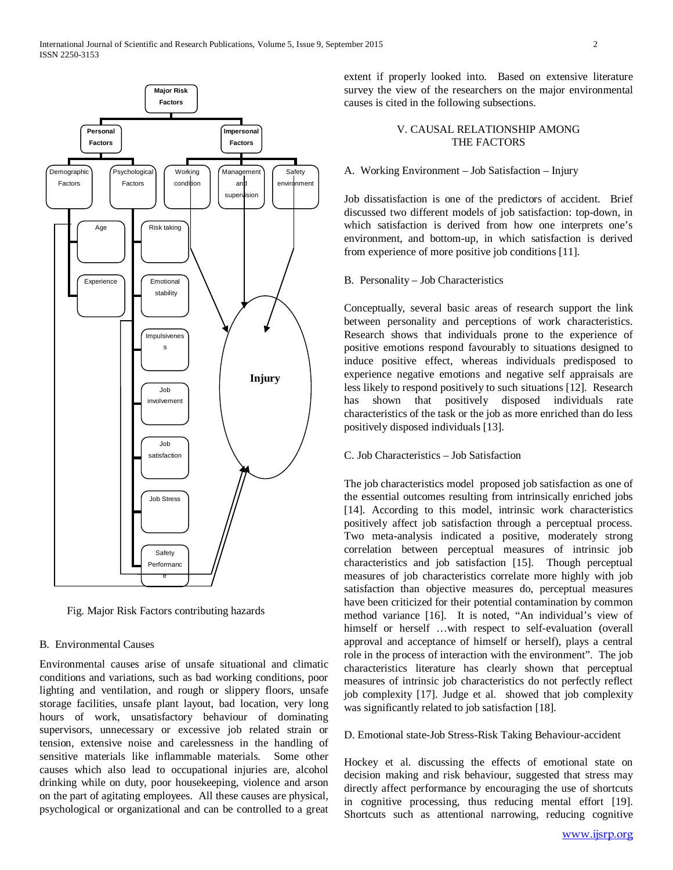

Fig. Major Risk Factors contributing hazards

#### B. Environmental Causes

Environmental causes arise of unsafe situational and climatic conditions and variations, such as bad working conditions, poor lighting and ventilation, and rough or slippery floors, unsafe storage facilities, unsafe plant layout, bad location, very long hours of work, unsatisfactory behaviour of dominating supervisors, unnecessary or excessive job related strain or tension, extensive noise and carelessness in the handling of sensitive materials like inflammable materials. Some other causes which also lead to occupational injuries are, alcohol drinking while on duty, poor housekeeping, violence and arson on the part of agitating employees. All these causes are physical, psychological or organizational and can be controlled to a great

extent if properly looked into. Based on extensive literature survey the view of the researchers on the major environmental causes is cited in the following subsections.

## V. CAUSAL RELATIONSHIP AMONG THE FACTORS

# A. Working Environment – Job Satisfaction – Injury

Job dissatisfaction is one of the predictors of accident. Brief discussed two different models of job satisfaction: top-down, in which satisfaction is derived from how one interprets one's environment, and bottom-up, in which satisfaction is derived from experience of more positive job conditions [11].

#### B. Personality – Job Characteristics

Conceptually, several basic areas of research support the link between personality and perceptions of work characteristics. Research shows that individuals prone to the experience of positive emotions respond favourably to situations designed to induce positive effect, whereas individuals predisposed to experience negative emotions and negative self appraisals are less likely to respond positively to such situations [12]. Research has shown that positively disposed individuals rate characteristics of the task or the job as more enriched than do less positively disposed individuals [13].

# C. Job Characteristics – Job Satisfaction

The job characteristics model proposed job satisfaction as one of the essential outcomes resulting from intrinsically enriched jobs [14]. According to this model, intrinsic work characteristics positively affect job satisfaction through a perceptual process. Two meta-analysis indicated a positive, moderately strong correlation between perceptual measures of intrinsic job characteristics and job satisfaction [15]. Though perceptual measures of job characteristics correlate more highly with job satisfaction than objective measures do, perceptual measures have been criticized for their potential contamination by common method variance [16]. It is noted, "An individual's view of himself or herself …with respect to self-evaluation (overall approval and acceptance of himself or herself), plays a central role in the process of interaction with the environment". The job characteristics literature has clearly shown that perceptual measures of intrinsic job characteristics do not perfectly reflect job complexity [17]. Judge et al. showed that job complexity was significantly related to job satisfaction [18].

#### D. Emotional state-Job Stress-Risk Taking Behaviour-accident

Hockey et al. discussing the effects of emotional state on decision making and risk behaviour, suggested that stress may directly affect performance by encouraging the use of shortcuts in cognitive processing, thus reducing mental effort [19]. Shortcuts such as attentional narrowing, reducing cognitive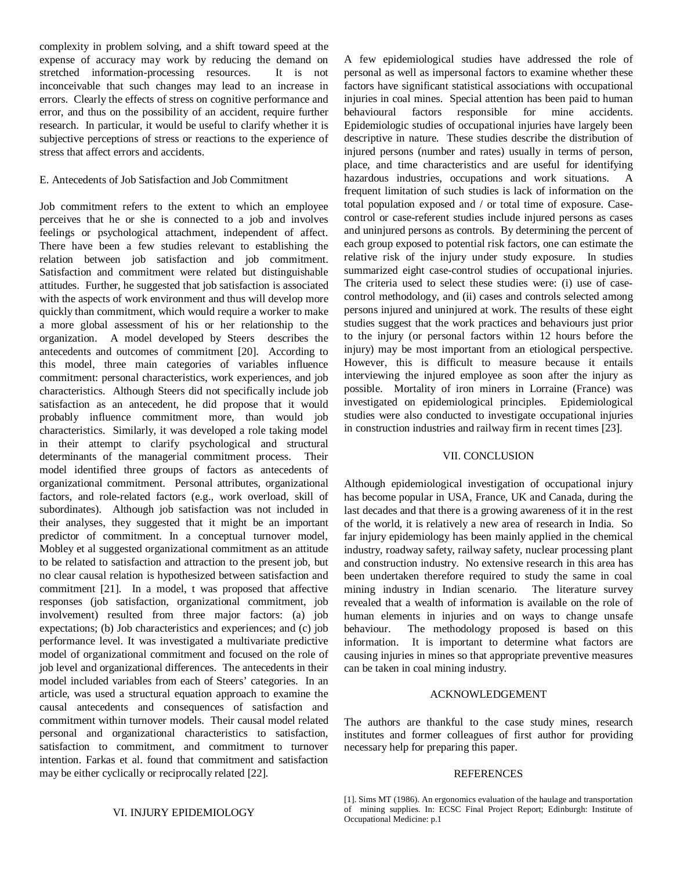complexity in problem solving, and a shift toward speed at the expense of accuracy may work by reducing the demand on stretched information-processing resources. It is not inconceivable that such changes may lead to an increase in errors. Clearly the effects of stress on cognitive performance and error, and thus on the possibility of an accident, require further research. In particular, it would be useful to clarify whether it is subjective perceptions of stress or reactions to the experience of stress that affect errors and accidents.

# E. Antecedents of Job Satisfaction and Job Commitment

Job commitment refers to the extent to which an employee perceives that he or she is connected to a job and involves feelings or psychological attachment, independent of affect. There have been a few studies relevant to establishing the relation between job satisfaction and job commitment. Satisfaction and commitment were related but distinguishable attitudes. Further, he suggested that job satisfaction is associated with the aspects of work environment and thus will develop more quickly than commitment, which would require a worker to make a more global assessment of his or her relationship to the organization. A model developed by Steers describes the antecedents and outcomes of commitment [20]. According to this model, three main categories of variables influence commitment: personal characteristics, work experiences, and job characteristics. Although Steers did not specifically include job satisfaction as an antecedent, he did propose that it would probably influence commitment more, than would job characteristics. Similarly, it was developed a role taking model in their attempt to clarify psychological and structural determinants of the managerial commitment process. Their model identified three groups of factors as antecedents of organizational commitment. Personal attributes, organizational factors, and role-related factors (e.g., work overload, skill of subordinates). Although job satisfaction was not included in their analyses, they suggested that it might be an important predictor of commitment. In a conceptual turnover model, Mobley et al suggested organizational commitment as an attitude to be related to satisfaction and attraction to the present job, but no clear causal relation is hypothesized between satisfaction and commitment [21]. In a model, t was proposed that affective responses (job satisfaction, organizational commitment, job involvement) resulted from three major factors: (a) job expectations; (b) Job characteristics and experiences; and (c) job performance level. It was investigated a multivariate predictive model of organizational commitment and focused on the role of job level and organizational differences. The antecedents in their model included variables from each of Steers' categories. In an article, was used a structural equation approach to examine the causal antecedents and consequences of satisfaction and commitment within turnover models. Their causal model related personal and organizational characteristics to satisfaction, satisfaction to commitment, and commitment to turnover intention. Farkas et al. found that commitment and satisfaction may be either cyclically or reciprocally related [22].

A few epidemiological studies have addressed the role of personal as well as impersonal factors to examine whether these factors have significant statistical associations with occupational injuries in coal mines. Special attention has been paid to human behavioural factors responsible for mine accidents. Epidemiologic studies of occupational injuries have largely been descriptive in nature. These studies describe the distribution of injured persons (number and rates) usually in terms of person, place, and time characteristics and are useful for identifying hazardous industries, occupations and work situations. A frequent limitation of such studies is lack of information on the total population exposed and / or total time of exposure. Casecontrol or case-referent studies include injured persons as cases and uninjured persons as controls. By determining the percent of each group exposed to potential risk factors, one can estimate the relative risk of the injury under study exposure. In studies summarized eight case-control studies of occupational injuries. The criteria used to select these studies were: (i) use of casecontrol methodology, and (ii) cases and controls selected among persons injured and uninjured at work. The results of these eight studies suggest that the work practices and behaviours just prior to the injury (or personal factors within 12 hours before the injury) may be most important from an etiological perspective. However, this is difficult to measure because it entails interviewing the injured employee as soon after the injury as possible. Mortality of iron miners in Lorraine (France) was investigated on epidemiological principles. Epidemiological studies were also conducted to investigate occupational injuries in construction industries and railway firm in recent times [23].

## VII. CONCLUSION

Although epidemiological investigation of occupational injury has become popular in USA, France, UK and Canada, during the last decades and that there is a growing awareness of it in the rest of the world, it is relatively a new area of research in India. So far injury epidemiology has been mainly applied in the chemical industry, roadway safety, railway safety, nuclear processing plant and construction industry. No extensive research in this area has been undertaken therefore required to study the same in coal mining industry in Indian scenario. The literature survey revealed that a wealth of information is available on the role of human elements in injuries and on ways to change unsafe behaviour. The methodology proposed is based on this information. It is important to determine what factors are causing injuries in mines so that appropriate preventive measures can be taken in coal mining industry.

## ACKNOWLEDGEMENT

The authors are thankful to the case study mines, research institutes and former colleagues of first author for providing necessary help for preparing this paper.

# REFERENCES

<sup>[1].</sup> Sims MT (1986). An ergonomics evaluation of the haulage and transportation of mining supplies. In: ECSC Final Project Report; Edinburgh: Institute of Occupational Medicine: p.1